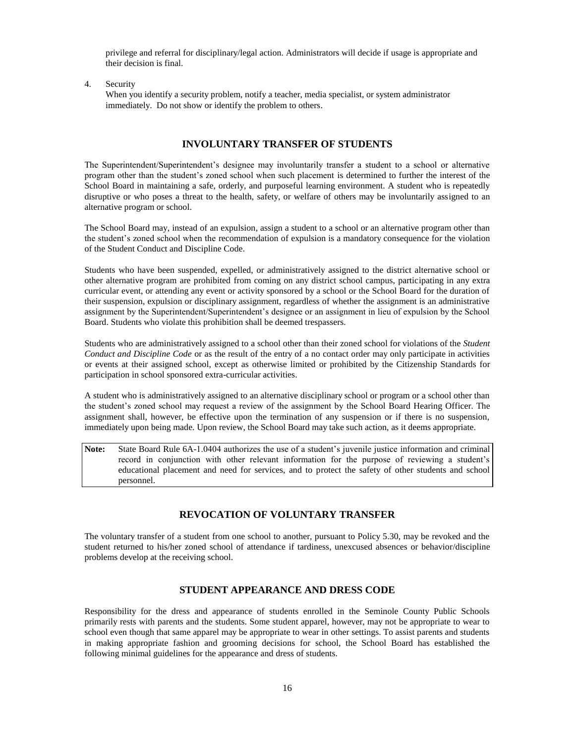privilege and referral for disciplinary/legal action. Administrators will decide if usage is appropriate and their decision is final.

4. Security

When you identify a security problem, notify a teacher, media specialist, or system administrator immediately. Do not show or identify the problem to others.

#### **INVOLUNTARY TRANSFER OF STUDENTS**

The Superintendent/Superintendent's designee may involuntarily transfer a student to a school or alternative program other than the student's zoned school when such placement is determined to further the interest of the School Board in maintaining a safe, orderly, and purposeful learning environment. A student who is repeatedly disruptive or who poses a threat to the health, safety, or welfare of others may be involuntarily assigned to an alternative program or school.

The School Board may, instead of an expulsion, assign a student to a school or an alternative program other than the student's zoned school when the recommendation of expulsion is a mandatory consequence for the violation of the Student Conduct and Discipline Code.

Students who have been suspended, expelled, or administratively assigned to the district alternative school or other alternative program are prohibited from coming on any district school campus, participating in any extra curricular event, or attending any event or activity sponsored by a school or the School Board for the duration of their suspension, expulsion or disciplinary assignment, regardless of whether the assignment is an administrative assignment by the Superintendent/Superintendent's designee or an assignment in lieu of expulsion by the School Board. Students who violate this prohibition shall be deemed trespassers.

Students who are administratively assigned to a school other than their zoned school for violations of the *Student Conduct and Discipline Code* or as the result of the entry of a no contact order may only participate in activities or events at their assigned school, except as otherwise limited or prohibited by the Citizenship Standards for participation in school sponsored extra-curricular activities.

A student who is administratively assigned to an alternative disciplinary school or program or a school other than the student's zoned school may request a review of the assignment by the School Board Hearing Officer. The assignment shall, however, be effective upon the termination of any suspension or if there is no suspension, immediately upon being made. Upon review, the School Board may take such action, as it deems appropriate.

**Note:** State Board Rule 6A-1.0404 authorizes the use of a student's juvenile justice information and criminal record in conjunction with other relevant information for the purpose of reviewing a student's educational placement and need for services, and to protect the safety of other students and school personnel.

### **REVOCATION OF VOLUNTARY TRANSFER**

The voluntary transfer of a student from one school to another, pursuant to Policy 5.30, may be revoked and the student returned to his/her zoned school of attendance if tardiness, unexcused absences or behavior/discipline problems develop at the receiving school.

## **STUDENT APPEARANCE AND DRESS CODE**

Responsibility for the dress and appearance of students enrolled in the Seminole County Public Schools primarily rests with parents and the students. Some student apparel, however, may not be appropriate to wear to school even though that same apparel may be appropriate to wear in other settings. To assist parents and students in making appropriate fashion and grooming decisions for school, the School Board has established the following minimal guidelines for the appearance and dress of students.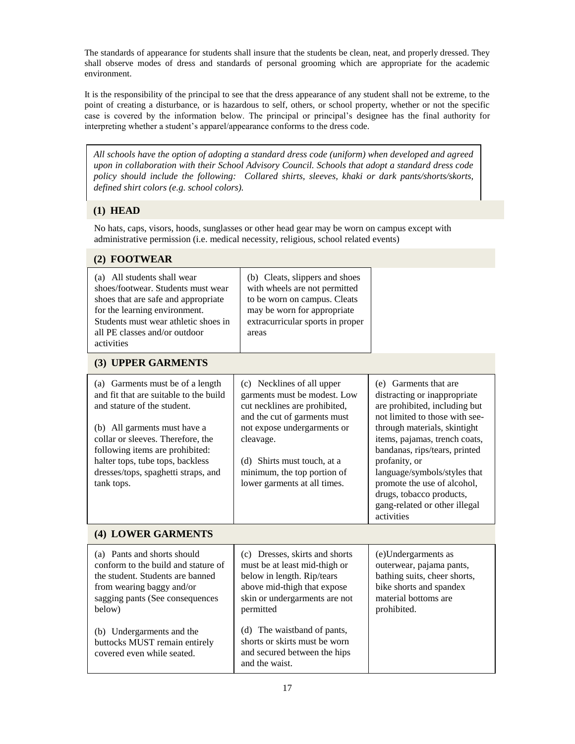The standards of appearance for students shall insure that the students be clean, neat, and properly dressed. They shall observe modes of dress and standards of personal grooming which are appropriate for the academic environment.

It is the responsibility of the principal to see that the dress appearance of any student shall not be extreme, to the point of creating a disturbance, or is hazardous to self, others, or school property, whether or not the specific case is covered by the information below. The principal or principal's designee has the final authority for interpreting whether a student's apparel/appearance conforms to the dress code.

*All schools have the option of adopting a standard dress code (uniform) when developed and agreed upon in collaboration with their School Advisory Council. Schools that adopt a standard dress code policy should include the following: Collared shirts, sleeves, khaki or dark pants/shorts/skorts, defined shirt colors (e.g. school colors).*

# **(1) HEAD**

No hats, caps, visors, hoods, sunglasses or other head gear may be worn on campus except with administrative permission (i.e. medical necessity, religious, school related events)

# **(2) FOOTWEAR**

| (a) All students shall wear<br>shoes/footwear. Students must wear<br>shoes that are safe and appropriate<br>for the learning environment.<br>Students must wear athletic shoes in<br>all PE classes and/or outdoor<br>activities                                                                           | (b) Cleats, slippers and shoes<br>with wheels are not permitted<br>to be worn on campus. Cleats<br>may be worn for appropriate<br>extracurricular sports in proper<br>areas                                                                                           |                                                                                                                                                                                                                                                                                                                                                                                       |  |
|------------------------------------------------------------------------------------------------------------------------------------------------------------------------------------------------------------------------------------------------------------------------------------------------------------|-----------------------------------------------------------------------------------------------------------------------------------------------------------------------------------------------------------------------------------------------------------------------|---------------------------------------------------------------------------------------------------------------------------------------------------------------------------------------------------------------------------------------------------------------------------------------------------------------------------------------------------------------------------------------|--|
| (3) UPPER GARMENTS                                                                                                                                                                                                                                                                                         |                                                                                                                                                                                                                                                                       |                                                                                                                                                                                                                                                                                                                                                                                       |  |
| (a) Garments must be of a length<br>and fit that are suitable to the build<br>and stature of the student.<br>(b) All garments must have a<br>collar or sleeves. Therefore, the<br>following items are prohibited:<br>halter tops, tube tops, backless<br>dresses/tops, spaghetti straps, and<br>tank tops. | (c) Necklines of all upper<br>garments must be modest. Low<br>cut necklines are prohibited,<br>and the cut of garments must<br>not expose undergarments or<br>cleavage.<br>(d) Shirts must touch, at a<br>minimum, the top portion of<br>lower garments at all times. | (e) Garments that are<br>distracting or inappropriate<br>are prohibited, including but<br>not limited to those with see-<br>through materials, skintight<br>items, pajamas, trench coats,<br>bandanas, rips/tears, printed<br>profanity, or<br>language/symbols/styles that<br>promote the use of alcohol,<br>drugs, tobacco products,<br>gang-related or other illegal<br>activities |  |
| (4) LOWER GARMENTS                                                                                                                                                                                                                                                                                         |                                                                                                                                                                                                                                                                       |                                                                                                                                                                                                                                                                                                                                                                                       |  |
| (a) Pants and shorts should<br>conform to the build and stature of<br>the student. Students are banned<br>from wearing baggy and/or<br>sagging pants (See consequences<br>below)                                                                                                                           | (c) Dresses, skirts and shorts<br>must be at least mid-thigh or<br>below in length. Rip/tears<br>above mid-thigh that expose<br>skin or undergarments are not<br>permitted                                                                                            | (e)Undergarments as<br>outerwear, pajama pants,<br>bathing suits, cheer shorts,<br>bike shorts and spandex<br>material bottoms are<br>prohibited.                                                                                                                                                                                                                                     |  |
| (b) Undergarments and the<br>buttocks MUST remain entirely<br>covered even while seated.                                                                                                                                                                                                                   | (d) The waistband of pants,<br>shorts or skirts must be worn<br>and secured between the hips<br>and the waist.                                                                                                                                                        |                                                                                                                                                                                                                                                                                                                                                                                       |  |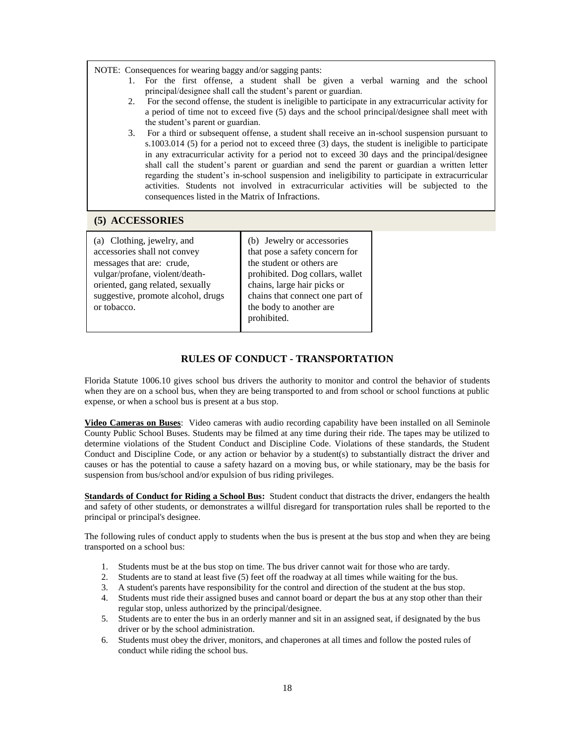NOTE: Consequences for wearing baggy and/or sagging pants:

- 1. For the first offense, a student shall be given a verbal warning and the school principal/designee shall call the student's parent or guardian.
- 2. For the second offense, the student is ineligible to participate in any extracurricular activity for a period of time not to exceed five (5) days and the school principal/designee shall meet with the student's parent or guardian.
- 3. For a third or subsequent offense, a student shall receive an in-school suspension pursuant to s.1003.014 (5) for a period not to exceed three (3) days, the student is ineligible to participate in any extracurricular activity for a period not to exceed 30 days and the principal/designee shall call the student's parent or guardian and send the parent or guardian a written letter regarding the student's in-school suspension and ineligibility to participate in extracurricular activities. Students not involved in extracurricular activities will be subjected to the consequences listed in the Matrix of Infractions.

#### **(5) ACCESSORIES**

| (a) Clothing, jewelry, and         | (b) Jewelry or accessories      |
|------------------------------------|---------------------------------|
| accessories shall not convey       | that pose a safety concern for  |
| messages that are: crude,          | the student or others are       |
| vulgar/profane, violent/death-     | prohibited. Dog collars, wallet |
| oriented, gang related, sexually   | chains, large hair picks or     |
| suggestive, promote alcohol, drugs | chains that connect one part of |
| or tobacco.                        | the body to another are         |
|                                    | prohibited.                     |

### **RULES OF CONDUCT - TRANSPORTATION**

Florida Statute 1006.10 gives school bus drivers the authority to monitor and control the behavior of students when they are on a school bus, when they are being transported to and from school or school functions at public expense, or when a school bus is present at a bus stop.

**Video Cameras on Buses**: Video cameras with audio recording capability have been installed on all Seminole County Public School Buses. Students may be filmed at any time during their ride. The tapes may be utilized to determine violations of the Student Conduct and Discipline Code. Violations of these standards, the Student Conduct and Discipline Code, or any action or behavior by a student(s) to substantially distract the driver and causes or has the potential to cause a safety hazard on a moving bus, or while stationary, may be the basis for suspension from bus/school and/or expulsion of bus riding privileges.

**Standards of Conduct for Riding a School Bus:** Student conduct that distracts the driver, endangers the health and safety of other students, or demonstrates a willful disregard for transportation rules shall be reported to the principal or principal's designee.

The following rules of conduct apply to students when the bus is present at the bus stop and when they are being transported on a school bus:

- 1. Students must be at the bus stop on time. The bus driver cannot wait for those who are tardy.
- 2. Students are to stand at least five (5) feet off the roadway at all times while waiting for the bus.
- 3. A student's parents have responsibility for the control and direction of the student at the bus stop.
- 4. Students must ride their assigned buses and cannot board or depart the bus at any stop other than their regular stop, unless authorized by the principal/designee.
- 5. Students are to enter the bus in an orderly manner and sit in an assigned seat, if designated by the bus driver or by the school administration.
- 6. Students must obey the driver, monitors, and chaperones at all times and follow the posted rules of conduct while riding the school bus.